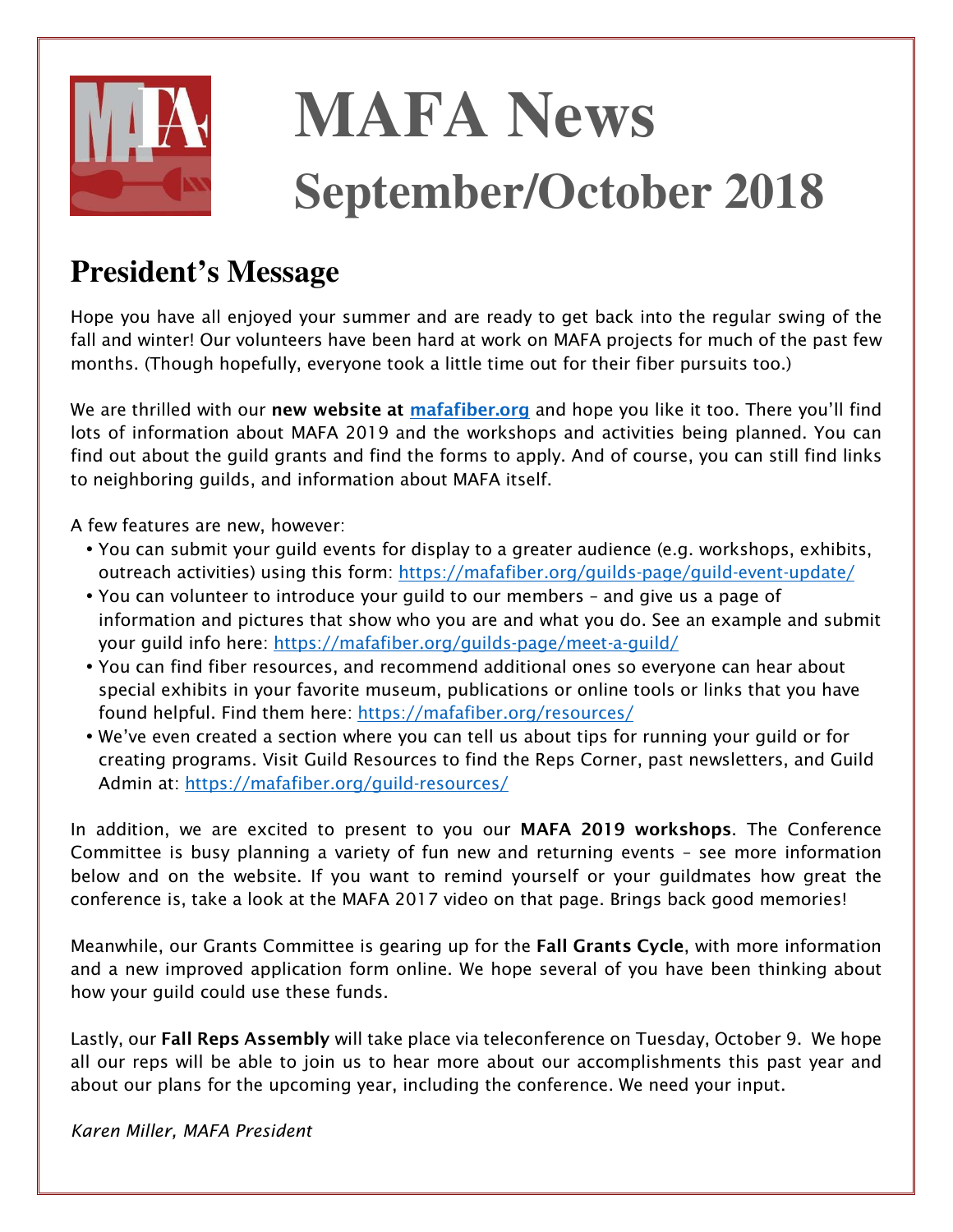

# **MAFA News September/October 2018**

## **President's Message**

*Hope you have all enjoyed your summer and are ready to get back into the regular swing of the fall and winter! Our volunteers have been hard at work on MAFA projects for much of the past few months. (Though hopefully, everyone took a little time out for their fiber pursuits too.)* 

*We are thrilled with our* **new website at [mafafiber.org](https://mafafiber.org)** *and hope you like it too. There you'll find lots of information about MAFA 2019 and the workshops and activities being planned. You can find out about the guild grants and find the forms to apply. And of course, you can still find links to neighboring guilds, and information about MAFA itself.* 

*A few features are new, however:* 

- *You can submit your guild events for display to a greater audience (e.g. workshops, exhibits, outreach activities) using this form:<https://mafafiber.org/guilds-page/guild-event-update/>*
- *You can volunteer to introduce your guild to our members and give us a page of information and pictures that show who you are and what you do. See an example and submit your guild info here:<https://mafafiber.org/guilds-page/meet-a-guild/>*
- *You can find fiber resources, and recommend additional ones so everyone can hear about special exhibits in your favorite museum, publications or online tools or links that you have found helpful. Find them here:<https://mafafiber.org/resources/>*
- *We've even created a section where you can tell us about tips for running your guild or for creating programs. Visit Guild Resources to find the Reps Corner, past newsletters, and Guild Admin at: <https://mafafiber.org/guild-resources/>*

*In addition, we are excited to present to you our* **MAFA 2019 workshops***. The Conference Committee is busy planning a variety of fun new and returning events – see more information below and on the website. If you want to remind yourself or your guildmates how great the conference is, take a look at the MAFA 2017 video on that page. Brings back good memories!* 

*Meanwhile, our Grants Committee is gearing up for the* **Fall Grants Cycle***, with more information and a new improved application form online. We hope several of you have been thinking about how your guild could use these funds.* 

*Lastly, our* **Fall Reps Assembly** *will take place via teleconference on Tuesday, October 9. We hope all our reps will be able to join us to hear more about our accomplishments this past year and about our plans for the upcoming year, including the conference. We need your input.* 

*Karen Miller, MAFA President*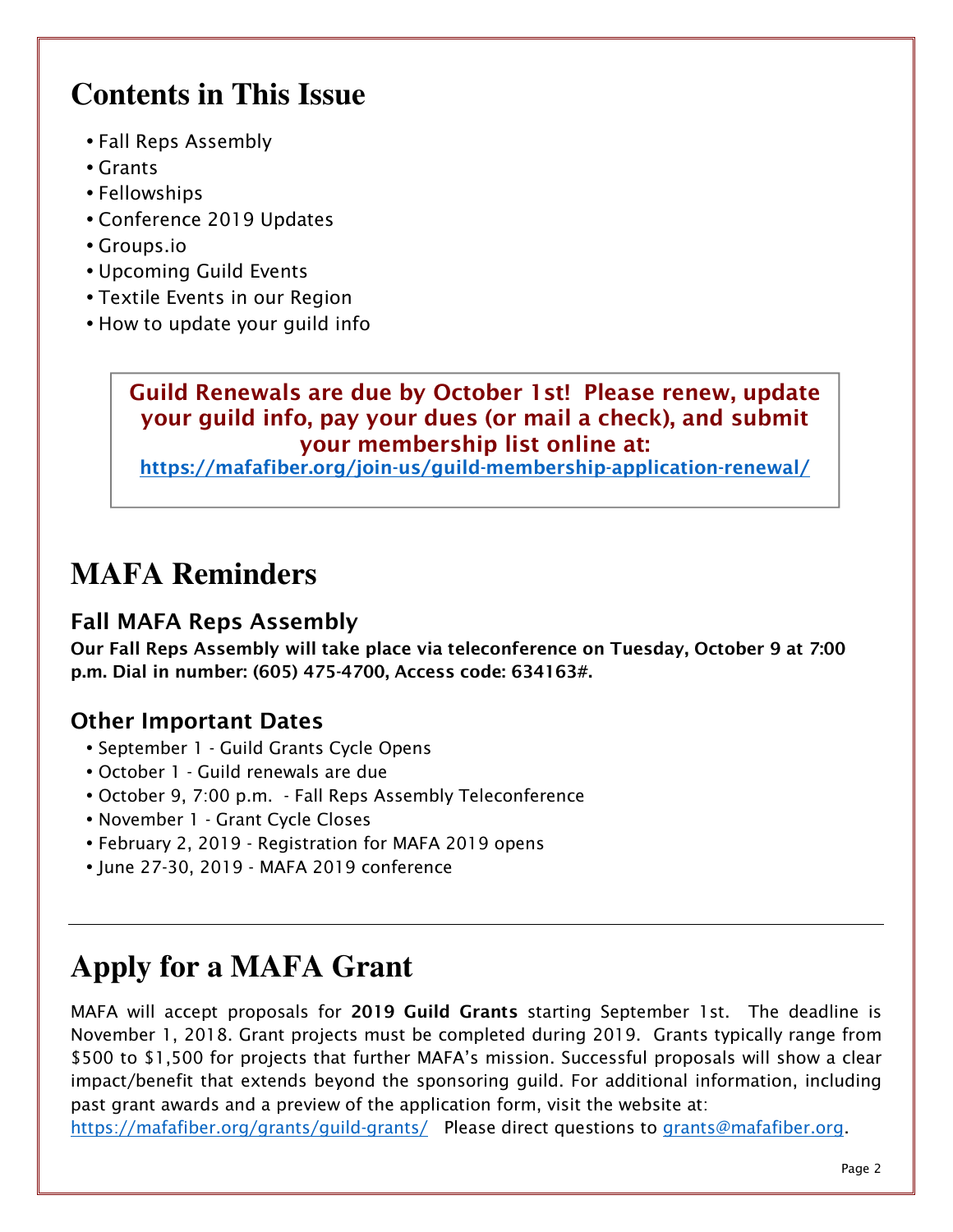# **Contents in This Issue**

- *Fall Reps Assembly*
- *Grants*
- *Fellowships*
- *Conference 2019 Updates*
- *Groups.io*
- *Upcoming Guild Events*
- *Textile Events in our Region*
- *How to update your guild info*

#### **Guild Renewals are due by October 1st! Please renew, update your guild info, pay your dues (or mail a check), and submit your membership list online at:**

**<https://mafafiber.org/join-us/guild-membership-application-renewal/>**

## **MAFA Reminders**

#### **Fall MAFA Reps Assembly**

**Our Fall Reps Assembly will take place via teleconference on Tuesday, October 9 at 7:00 p.m. Dial in number: (605) 475-4700, Access code: 634163#.**

#### **Other Important Dates**

- *September 1 Guild Grants Cycle Opens*
- *October 1 Guild renewals are due*
- *October 9, 7:00 p.m. Fall Reps Assembly Teleconference*
- *November 1 Grant Cycle Closes*
- *February 2, 2019 Registration for MAFA 2019 opens*
- *June 27-30, 2019 MAFA 2019 conference*

# **Apply for a MAFA Grant**

*MAFA will accept proposals for* **2019 Guild Grants** *starting September 1st. The deadline is November 1, 2018. Grant projects must be completed during 2019. Grants typically range from \$500 to \$1,500 for projects that further MAFA's mission. Successful proposals will show a clear impact/benefit that extends beyond the sponsoring guild. For additional information, including past grant awards and a preview of the application form, visit the website at:* 

*[https://mafafiber.org/grants/guild-grants/ P](https://mafafiber.org/grants/guild-grants/)lease direct questions to [grants@mafafiber.org.](mailto:grants@mafafiber.org)*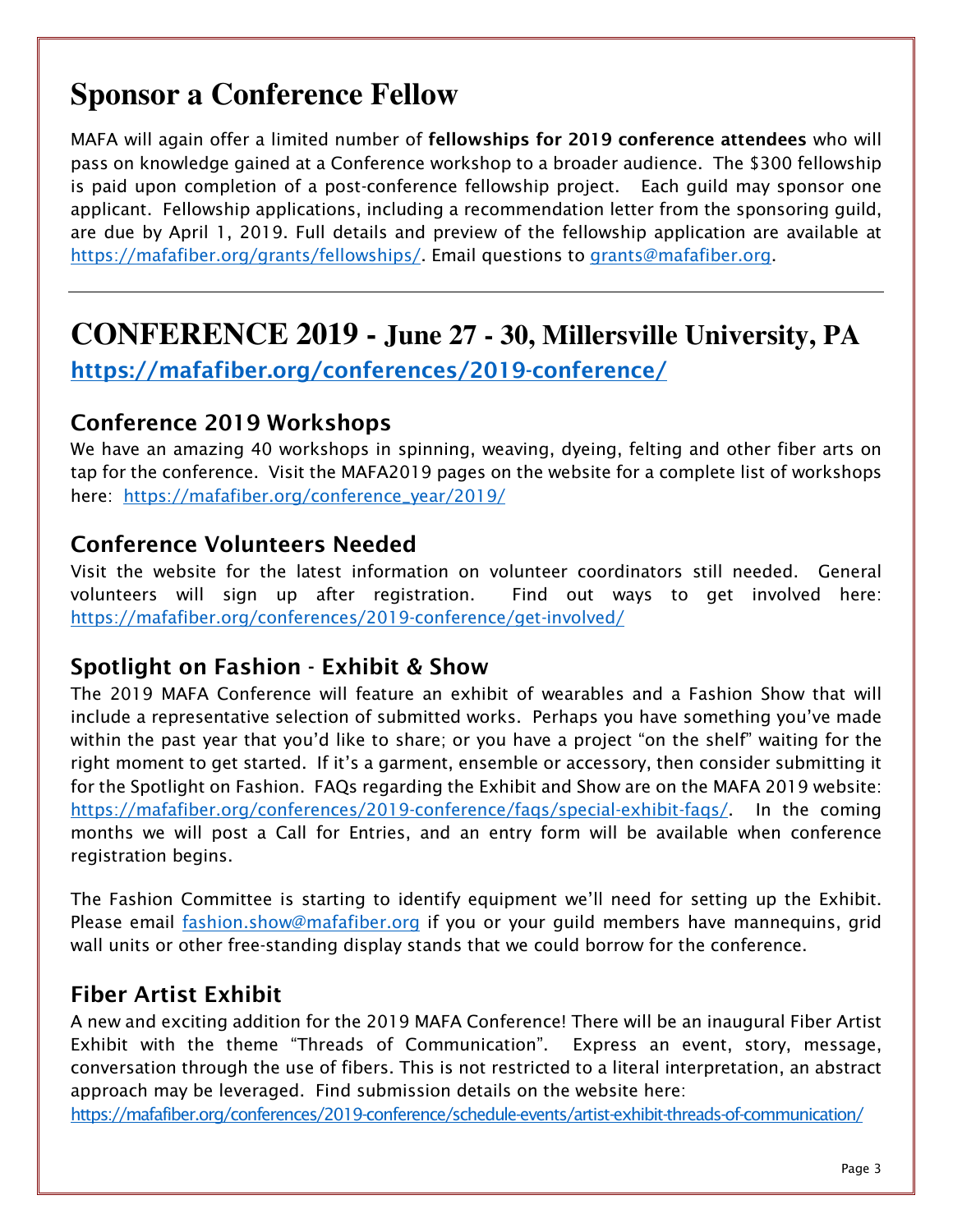# **Sponsor a Conference Fellow**

*MAFA will again offer a limited number of* **fellowships for 2019 conference attendees** *who will pass on knowledge gained at a Conference workshop to a broader audience. The \$300 fellowship is paid upon completion of a post-conference fellowship project. Each guild may sponsor one applicant. Fellowship applications, including a recommendation letter from the sponsoring guild, are due by April 1, 2019. Full details and preview of the fellowship application are available at [https://mafafiber.org/grants/fellowships/. Em](https://mafafiber.org/grants/fellowships/)ail questions to [grants@mafafiber.org.](mailto:grants@mafafiber.org)* 

# **CONFERENCE 2019 - June 27 - 30, Millersville University, PA**

**<https://mafafiber.org/conferences/2019-conference/>**

#### **Conference 2019 Workshops**

*We have an amazing 40 workshops in spinning, weaving, dyeing, felting and other fiber arts on tap for the conference. Visit the MAFA2019 pages on the website for a complete list of workshops here: [https://mafafiber.org/conference\\_year/2019/](https://mafafiber.org/conference_year/2019/)*

#### **Conference Volunteers Needed**

*Visit the website for the latest information on volunteer coordinators still needed. General volunteers will sign up after registration. Find out ways to get involved here: <https://mafafiber.org/conferences/2019-conference/get-involved/>*

#### **Spotlight on Fashion - Exhibit & Show**

The 2019 MAFA Conference will feature an exhibit of wearables and a Fashion Show that will *include a representative selection of submitted works. Perhaps you have something you've made within the past year that you'd like to share; or you have a project "on the shelf" waiting for the right moment to get started. If it's a garment, ensemble or accessory, then consider submitting it for the Spotlight on Fashion. FAQs regarding the Exhibit and Show are on the MAFA 2019 website: [https://mafafiber.org/conferences/2019-conference/faqs/special-exhibit-faqs/.](https://mafafiber.org/conferences/2019-conference/faqs/special-exhibit-faqs/) In the coming months we will post a Call for Entries, and an entry form will be available when conference registration begins.* 

*The Fashion Committee is starting to identify equipment we'll need for setting up the Exhibit. Please email [fashion.show@mafafiber.org if](mailto:fashion.show@mafafiber.org) you or your guild members have mannequins, grid wall units or other free-standing display stands that we could borrow for the conference.* 

#### **Fiber Artist Exhibit**

*A new and exciting addition for the 2019 MAFA Conference! There will be an inaugural Fiber Artist Exhibit with the theme "Threads of Communication". Express an event, story, message, conversation through the use of fibers. This is not restricted to a literal interpretation, an abstract approach may be leveraged. Find submission details on the website here:* 

*<https://mafafiber.org/conferences/2019-conference/schedule-events/artist-exhibit-threads-of-communication/>*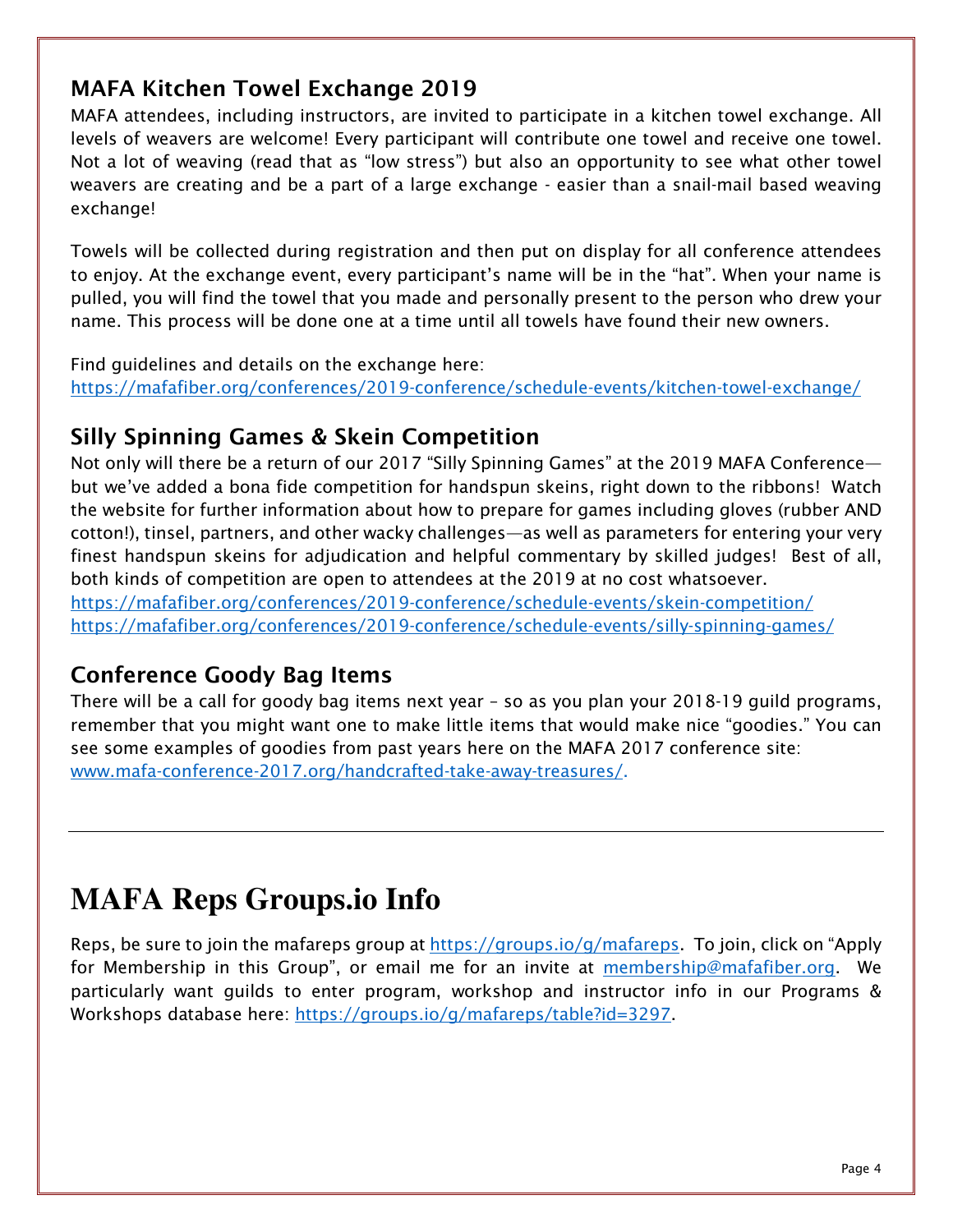#### **MAFA Kitchen Towel Exchange 2019**

*MAFA attendees, including instructors, are invited to participate in a kitchen towel exchange. All levels of weavers are welcome! Every participant will contribute one towel and receive one towel. Not a lot of weaving (read that as "low stress") but also an opportunity to see what other towel weavers are creating and be a part of a large exchange - easier than a snail-mail based weaving exchange!* 

*Towels will be collected during registration and then put on display for all conference attendees to enjoy. At the exchange event, every participant's name will be in the "hat". When your name is pulled, you will find the towel that you made and personally present to the person who drew your name. This process will be done one at a time until all towels have found their new owners.* 

*Find guidelines and details on the exchange here: <https://mafafiber.org/conferences/2019-conference/schedule-events/kitchen-towel-exchange/>*

#### **Silly Spinning Games & Skein Competition**

*Not only will there be a return of our 2017 "Silly Spinning Games" at the 2019 MAFA Conference but we've added a bona fide competition for handspun skeins, right down to the ribbons! Watch the website for further information about how to prepare for games including gloves (rubber AND cotton!), tinsel, partners, and other wacky challenges—as well as parameters for entering your very finest handspun skeins for adjudication and helpful commentary by skilled judges! Best of all, both kinds of competition are open to attendees at the 2019 at no cost whatsoever. <https://mafafiber.org/conferences/2019-conference/schedule-events/skein-competition/>*

*<https://mafafiber.org/conferences/2019-conference/schedule-events/silly-spinning-games/>*

#### **Conference Goody Bag Items**

*There will be a call for goody bag items next year – so as you plan your 2018-19 guild programs, remember that you might want one to make little items that would make nice "goodies." You can see some examples of goodies from past years here on the MAFA 2017 conference site: [www.mafa-conference-2017.org/handcrafted-take-away-treasures/.](http://www.mafa-conference-2017.org/handcrafted-take-away-treasures/)*

### **MAFA Reps Groups.io Info**

*Reps, be sure to join the mafareps group at [https://groups.io/g/mafareps. T](https://groups.io/g/mafareps)o join, click on "Apply*  for Membership in this Group", or email me for an invite at *membership@mafafiber.org*. We *particularly want guilds to enter program, workshop and instructor info in our Programs & Workshops database here: [https://groups.io/g/mafareps/table?id=3297.](https://groups.io/g/mafareps/table?id=3297)*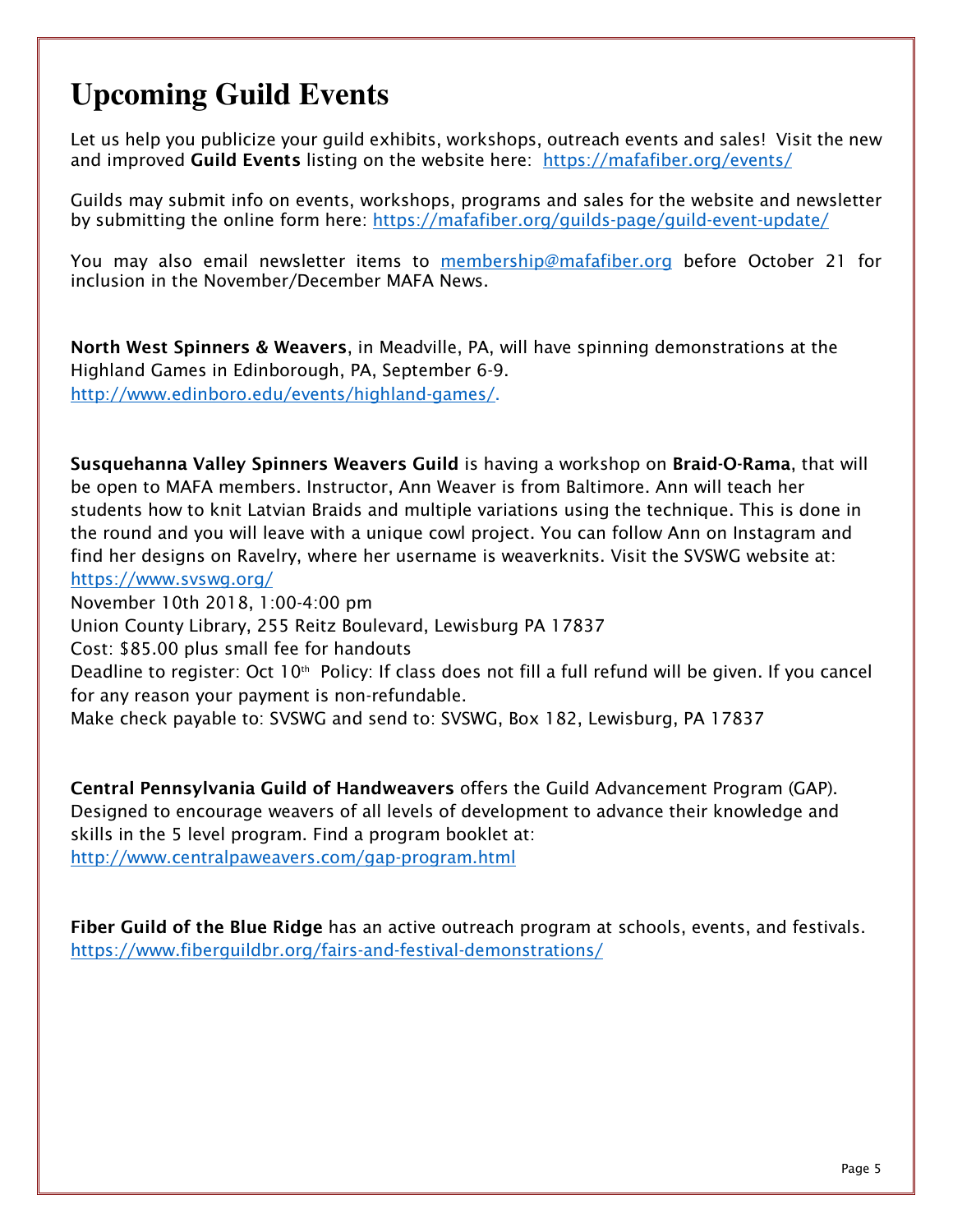# **Upcoming Guild Events**

*Let us help you publicize your guild exhibits, workshops, outreach events and sales! Visit the new and improved* **Guild Events** *listing on the website here: <https://mafafiber.org/events/>*

*Guilds may submit info on events, workshops, programs and sales for the website and newsletter by submitting the online form here: <https://mafafiber.org/guilds-page/guild-event-update/>*

*You may also email newsletter items to [membership@mafafiber.org b](mailto:membership@mafafiber.org)efore October 21 for inclusion in the November/December MAFA News.* 

**North West Spinners & Weavers***, in Meadville, PA, will have spinning demonstrations at the Highland Games in Edinborough, PA, September 6-9. [http://www.edinboro.edu/events/highland-games/.](http://www.edinboro.edu/events/highland-games/)*

**Susquehanna Valley Spinners Weavers Guild** *is having a workshop on* **Braid-O-Rama***, that will be open to MAFA members. Instructor, Ann Weaver is from Baltimore. Ann will teach her students how to knit Latvian Braids and multiple variations using the technique. This is done in the round and you will leave with a unique cowl project. You can follow Ann on Instagram and find her designs on Ravelry, where her username is weaverknits. Visit the SVSWG website at: <https://www.svswg.org/>*

*November 10th 2018, 1:00-4:00 pm* 

*Union County Library, 255 Reitz Boulevard, Lewisburg PA 17837* 

*Cost: \$85.00 plus small fee for handouts* 

*Deadline to register: Oct 10th Policy: If class does not fill a full refund will be given. If you cancel for any reason your payment is non-refundable.* 

*Make check payable to: SVSWG and send to: SVSWG, Box 182, Lewisburg, PA 17837* 

**Central Pennsylvania Guild of Handweavers** *offers the Guild Advancement Program (GAP). Designed to encourage weavers of all levels of development to advance their knowledge and skills in the 5 level program. Find a program booklet at:* 

*<http://www.centralpaweavers.com/gap-program.html>*

**Fiber Guild of the Blue Ridge** *has an active outreach program at schools, events, and festivals. <https://www.fiberguildbr.org/fairs-and-festival-demonstrations/>*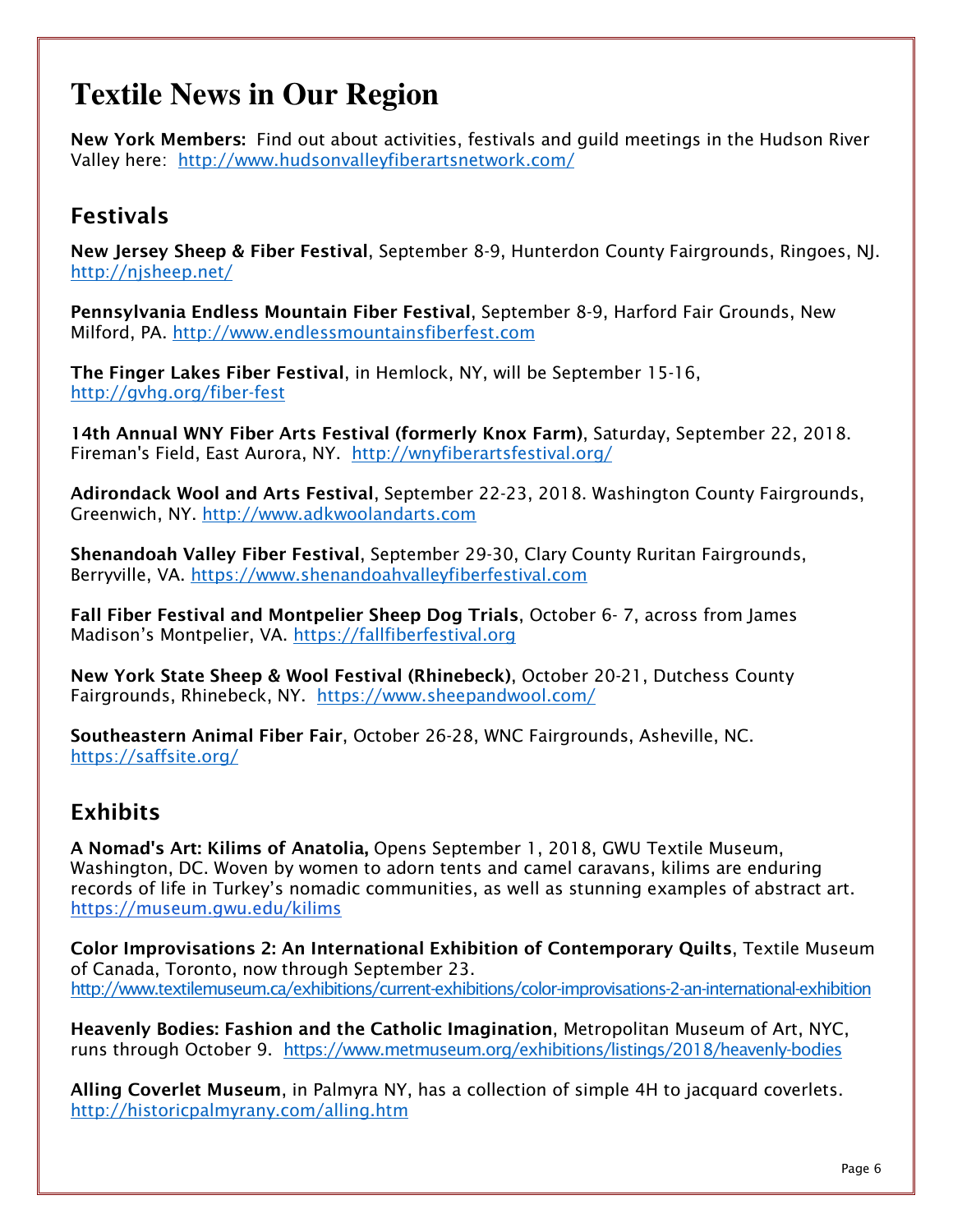## **Textile News in Our Region**

**New York Members:** *Find out about activities, festivals and guild meetings in the Hudson River Valley here: <http://www.hudsonvalleyfiberartsnetwork.com/>*

#### **Festivals**

**New Jersey Sheep & Fiber Festival***, September 8-9, Hunterdon County Fairgrounds, Ringoes, NJ. <http://njsheep.net/>*

**Pennsylvania Endless Mountain Fiber Festival***, September 8-9, Harford Fair Grounds, New Milford, PA.<http://www.endlessmountainsfiberfest.com>*

**The Finger Lakes Fiber Festival***, in Hemlock, NY, will be September 15-16, <http://gvhg.org/fiber-fest>*

**14th Annual WNY Fiber Arts Festival (formerly Knox Farm)***, Saturday, September 22, 2018. Fireman's Field, East Aurora, NY. <http://wnyfiberartsfestival.org/>*

**Adirondack Wool and Arts Festival***, September 22-23, 2018. Washington County Fairgrounds, Greenwich, NY.<http://www.adkwoolandarts.com>*

**Shenandoah Valley Fiber Festival***, September 29-30, Clary County Ruritan Fairgrounds, Berryville, VA. <https://www.shenandoahvalleyfiberfestival.com>*

**Fall Fiber Festival and Montpelier Sheep Dog Trials***, October 6- 7, across from James Madison's Montpelier, VA. <https://fallfiberfestival.org>*

**New York State Sheep & Wool Festival (Rhinebeck)***, October 20-21, Dutchess County Fairgrounds, Rhinebeck, NY. <https://www.sheepandwool.com/>*

**Southeastern Animal Fiber Fair***, October 26-28, WNC Fairgrounds, Asheville, NC. <https://saffsite.org/>*

#### **Exhibits**

**A Nomad's Art: Kilims of Anatolia,** *Opens September 1, 2018, GWU Textile Museum, Washington, DC. Woven by women to adorn tents and camel caravans, kilims are enduring records of life in Turkey's nomadic communities, as well as stunning examples of abstract art. <https://museum.gwu.edu/kilims>*

**Color Improvisations 2: An International Exhibition of Contemporary Quilts***, Textile Museum of Canada, Toronto, now through September 23. <http://www.textilemuseum.ca/exhibitions/current-exhibitions/color-improvisations-2-an-international-exhibition>*

**Heavenly Bodies: Fashion and the Catholic Imagination***, Metropolitan Museum of Art, NYC, runs through October 9. <https://www.metmuseum.org/exhibitions/listings/2018/heavenly-bodies>*

**Alling Coverlet Museum***, in Palmyra NY, has a collection of simple 4H to jacquard coverlets. <http://historicpalmyrany.com/alling.htm>*